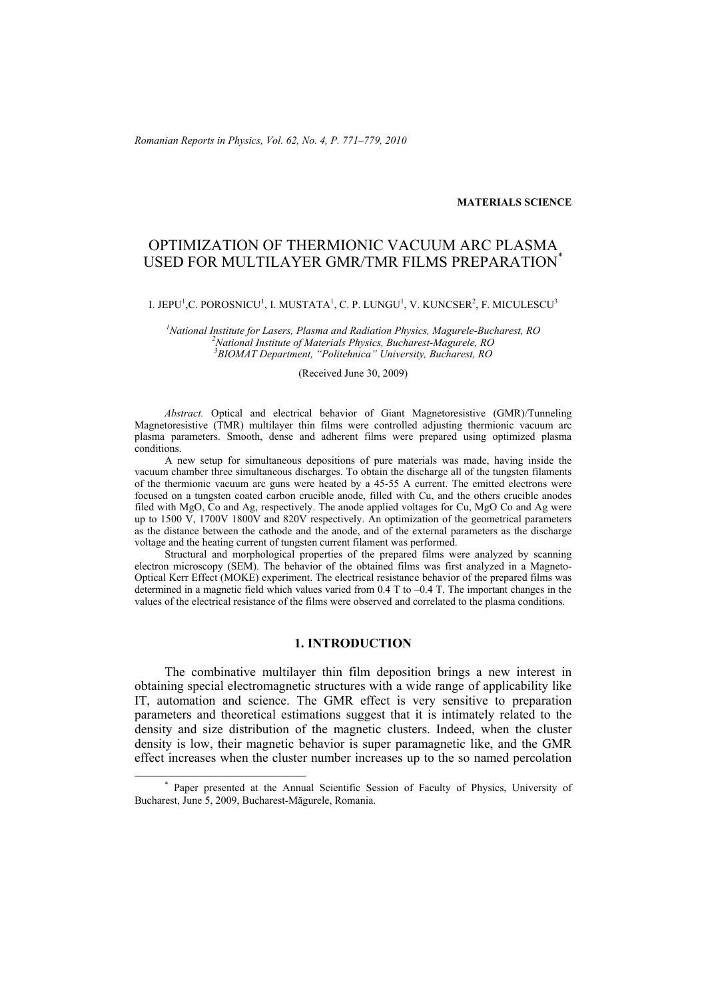*Romanian Reports in Physics, Vol. 62, No. 4, P. 771–779, 2010*

#### **MATERIALS SCIENCE**

# OPTIMIZATION OF THERMIONIC VACUUM ARC PLASMA USED FOR MULTILAYER GMR/TMR FILMS PREPARATION\*

#### I. JEPU $^1$ ,C. POROSNICU $^1$ , I. MUSTATA $^1$ , C. P. LUNGU $^1$ , V. KUNCSER $^2$ , F. MICULESCU $^3$

<sup>1</sup><br>
<sup>1</sup>National Institute for Lasers, Plasma and Radiation Physics, Magurele-Bucharest, RO<br>
<sup>2</sup>National Institute of Materials Physics, Pucharest Magurele, PO *National Institute of Materials Physics, Bucharest-Magurele, RO <sup>3</sup> BIOMAT Department, "Politehnica" University, Bucharest, RO* 

(Received June 30, 2009)

*Abstract.* Optical and electrical behavior of Giant Magnetoresistive (GMR)/Tunneling Magnetoresistive (TMR) multilayer thin films were controlled adjusting thermionic vacuum arc plasma parameters. Smooth, dense and adherent films were prepared using optimized plasma conditions.

 A new setup for simultaneous depositions of pure materials was made, having inside the vacuum chamber three simultaneous discharges. To obtain the discharge all of the tungsten filaments of the thermionic vacuum arc guns were heated by a 45-55 A current. The emitted electrons were focused on a tungsten coated carbon crucible anode, filled with Cu, and the others crucible anodes filed with MgO, Co and Ag, respectively. The anode applied voltages for Cu, MgO Co and Ag were up to  $1500 \text{ V}$ ,  $1700 \text{ V}$   $1800 \text{ V}$  and  $820 \text{ V}$  respectively. An optimization of the geometrical parameters as the distance between the cathode and the anode, and of the external parameters as the discharge voltage and the heating current of tungsten current filament was performed.

Structural and morphological properties of the prepared films were analyzed by scanning electron microscopy (SEM). The behavior of the obtained films was first analyzed in a Magneto-Optical Kerr Effect (MOKE) experiment. The electrical resistance behavior of the prepared films was determined in a magnetic field which values varied from 0.4 T to –0.4 T. The important changes in the values of the electrical resistance of the films were observed and correlated to the plasma conditions.

## **1. INTRODUCTION**

The combinative multilayer thin film deposition brings a new interest in obtaining special electromagnetic structures with a wide range of applicability like IT, automation and science. The GMR effect is very sensitive to preparation parameters and theoretical estimations suggest that it is intimately related to the density and size distribution of the magnetic clusters. Indeed, when the cluster density is low, their magnetic behavior is super paramagnetic like, and the GMR effect increases when the cluster number increases up to the so named percolation

 <sup>\*</sup> Paper presented at the Annual Scientific Session of Faculty of Physics, University of Bucharest, June 5, 2009, Bucharest-Măgurele, Romania.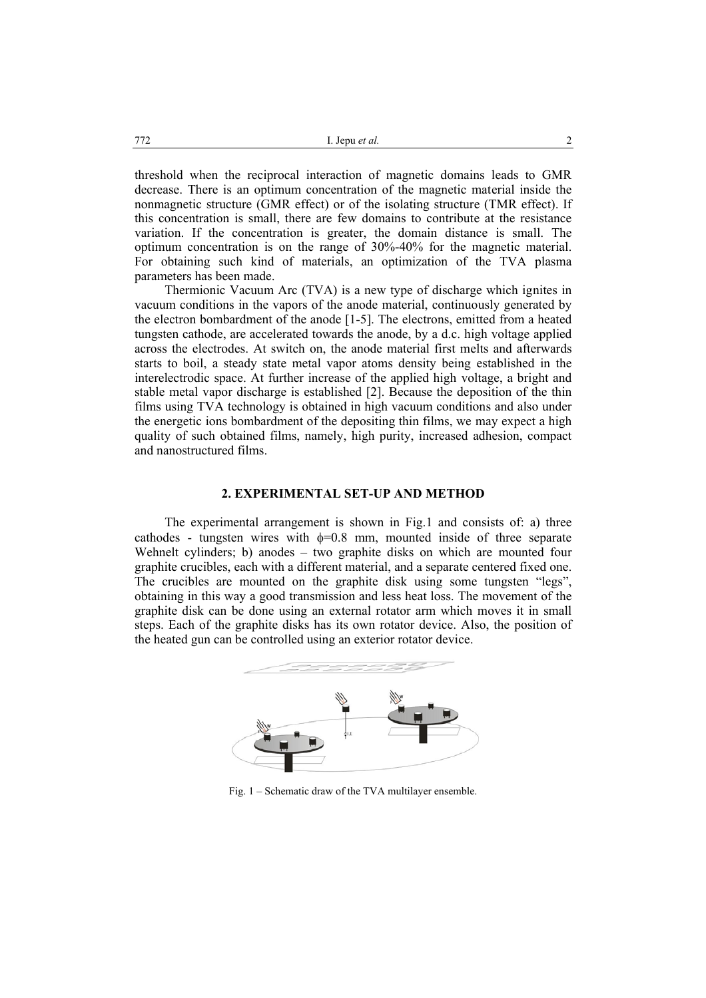threshold when the reciprocal interaction of magnetic domains leads to GMR decrease. There is an optimum concentration of the magnetic material inside the nonmagnetic structure (GMR effect) or of the isolating structure (TMR effect). If this concentration is small, there are few domains to contribute at the resistance variation. If the concentration is greater, the domain distance is small. The optimum concentration is on the range of 30%-40% for the magnetic material. For obtaining such kind of materials, an optimization of the TVA plasma parameters has been made.

Thermionic Vacuum Arc (TVA) is a new type of discharge which ignites in vacuum conditions in the vapors of the anode material, continuously generated by the electron bombardment of the anode [1-5]. The electrons, emitted from a heated tungsten cathode, are accelerated towards the anode, by a d.c. high voltage applied across the electrodes. At switch on, the anode material first melts and afterwards starts to boil, a steady state metal vapor atoms density being established in the interelectrodic space. At further increase of the applied high voltage, a bright and stable metal vapor discharge is established [2]. Because the deposition of the thin films using TVA technology is obtained in high vacuum conditions and also under the energetic ions bombardment of the depositing thin films, we may expect a high quality of such obtained films, namely, high purity, increased adhesion, compact and nanostructured films.

#### **2. EXPERIMENTAL SET-UP AND METHOD**

The experimental arrangement is shown in Fig.1 and consists of: a) three cathodes - tungsten wires with  $\phi=0.8$  mm, mounted inside of three separate Wehnelt cylinders; b) anodes – two graphite disks on which are mounted four graphite crucibles, each with a different material, and a separate centered fixed one. The crucibles are mounted on the graphite disk using some tungsten "legs", obtaining in this way a good transmission and less heat loss. The movement of the graphite disk can be done using an external rotator arm which moves it in small steps. Each of the graphite disks has its own rotator device. Also, the position of the heated gun can be controlled using an exterior rotator device.



Fig. 1 – Schematic draw of the TVA multilayer ensemble.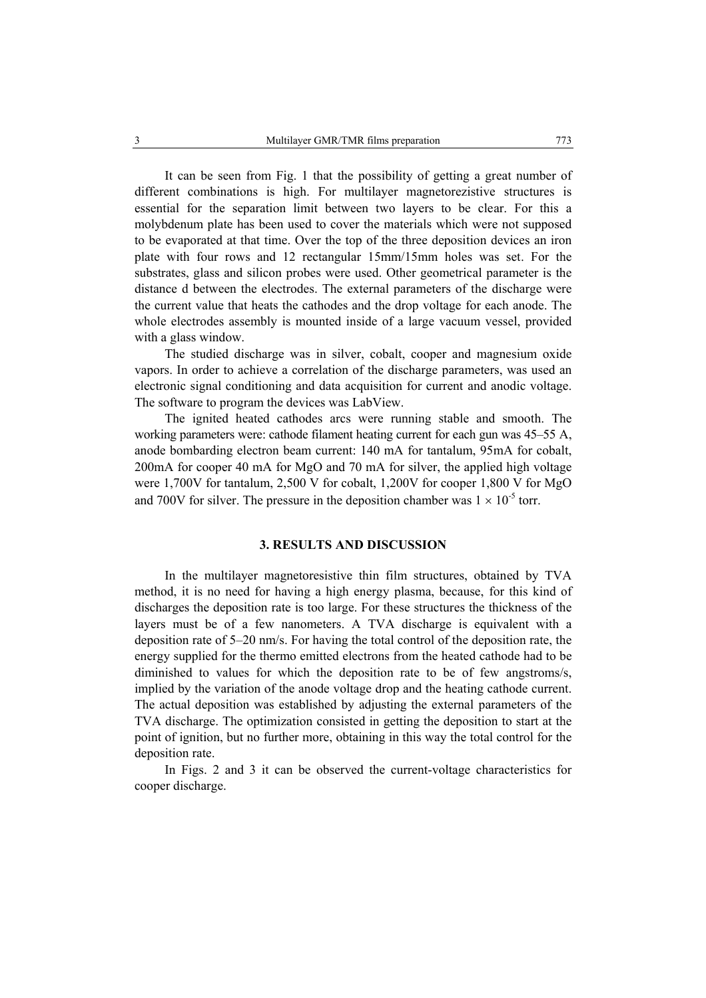It can be seen from Fig. 1 that the possibility of getting a great number of different combinations is high. For multilayer magnetorezistive structures is essential for the separation limit between two layers to be clear. For this a molybdenum plate has been used to cover the materials which were not supposed to be evaporated at that time. Over the top of the three deposition devices an iron plate with four rows and 12 rectangular 15mm/15mm holes was set. For the substrates, glass and silicon probes were used. Other geometrical parameter is the distance d between the electrodes. The external parameters of the discharge were the current value that heats the cathodes and the drop voltage for each anode. The whole electrodes assembly is mounted inside of a large vacuum vessel, provided with a glass window.

 The studied discharge was in silver, cobalt, cooper and magnesium oxide vapors. In order to achieve a correlation of the discharge parameters, was used an electronic signal conditioning and data acquisition for current and anodic voltage. The software to program the devices was LabView.

 The ignited heated cathodes arcs were running stable and smooth. The working parameters were: cathode filament heating current for each gun was 45–55 A, anode bombarding electron beam current: 140 mA for tantalum, 95mA for cobalt, 200mA for cooper 40 mA for MgO and 70 mA for silver, the applied high voltage were 1,700V for tantalum, 2,500 V for cobalt, 1,200V for cooper 1,800 V for MgO and 700V for silver. The pressure in the deposition chamber was  $1 \times 10^{-5}$  torr.

### **3. RESULTS AND DISCUSSION**

In the multilayer magnetoresistive thin film structures, obtained by TVA method, it is no need for having a high energy plasma, because, for this kind of discharges the deposition rate is too large. For these structures the thickness of the layers must be of a few nanometers. A TVA discharge is equivalent with a deposition rate of 5–20 nm/s. For having the total control of the deposition rate, the energy supplied for the thermo emitted electrons from the heated cathode had to be diminished to values for which the deposition rate to be of few angstroms/s, implied by the variation of the anode voltage drop and the heating cathode current. The actual deposition was established by adjusting the external parameters of the TVA discharge. The optimization consisted in getting the deposition to start at the point of ignition, but no further more, obtaining in this way the total control for the deposition rate.

 In Figs. 2 and 3 it can be observed the current-voltage characteristics for cooper discharge.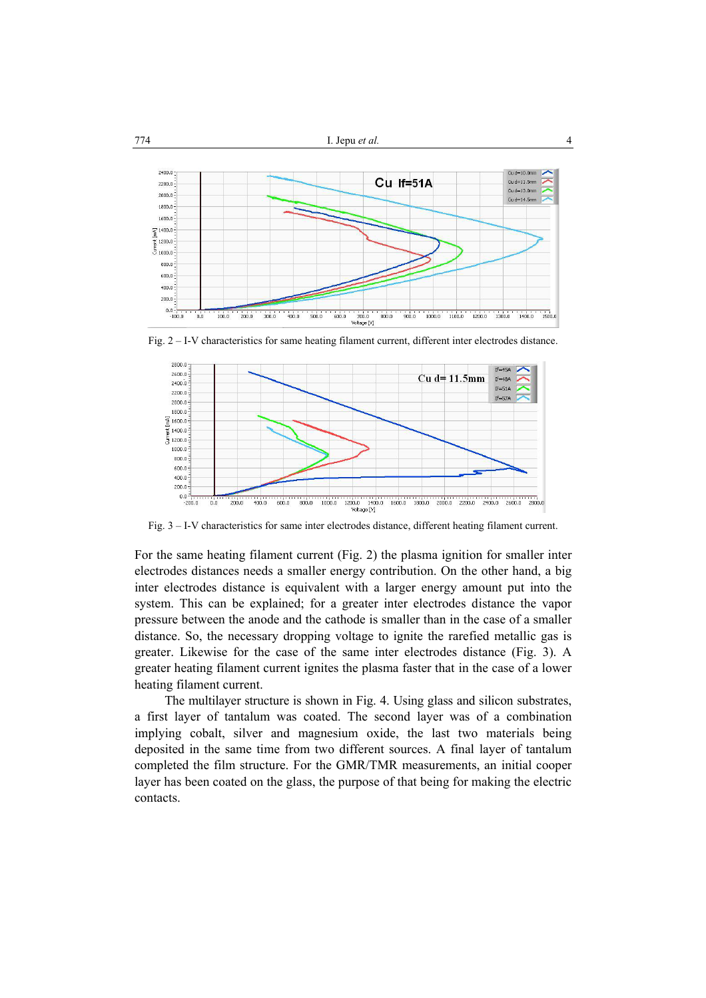

Fig. 2 – I-V characteristics for same heating filament current, different inter electrodes distance.



Fig. 3 – I-V characteristics for same inter electrodes distance, different heating filament current.

For the same heating filament current (Fig. 2) the plasma ignition for smaller inter electrodes distances needs a smaller energy contribution. On the other hand, a big inter electrodes distance is equivalent with a larger energy amount put into the system. This can be explained; for a greater inter electrodes distance the vapor pressure between the anode and the cathode is smaller than in the case of a smaller distance. So, the necessary dropping voltage to ignite the rarefied metallic gas is greater. Likewise for the case of the same inter electrodes distance (Fig. 3). A greater heating filament current ignites the plasma faster that in the case of a lower heating filament current.

 The multilayer structure is shown in Fig. 4. Using glass and silicon substrates, a first layer of tantalum was coated. The second layer was of a combination implying cobalt, silver and magnesium oxide, the last two materials being deposited in the same time from two different sources. A final layer of tantalum completed the film structure. For the GMR/TMR measurements, an initial cooper layer has been coated on the glass, the purpose of that being for making the electric contacts.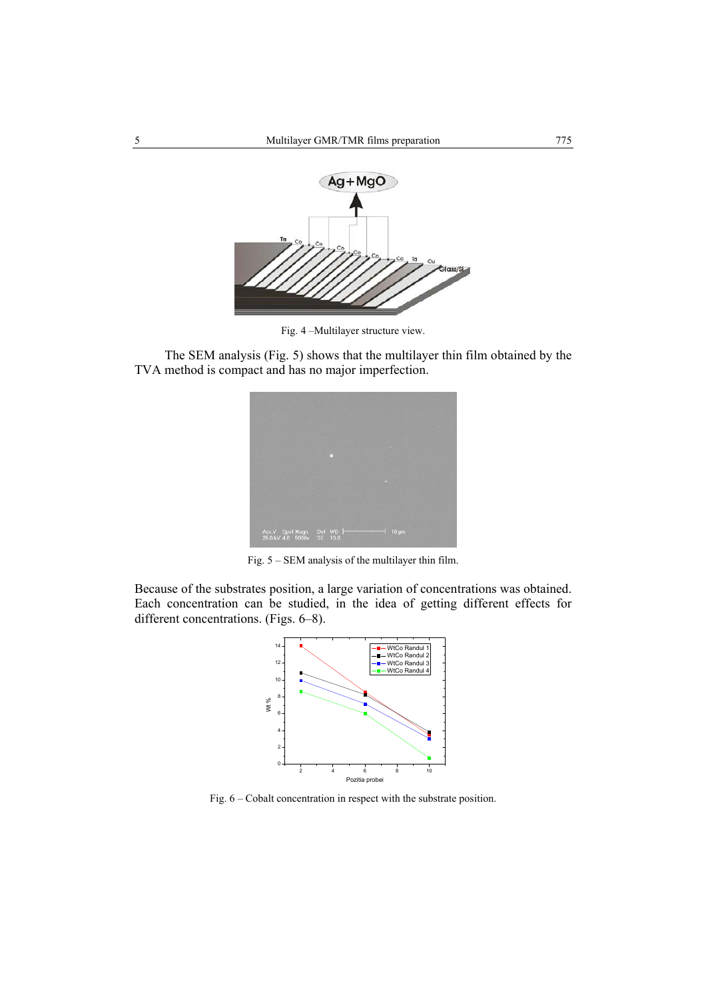

Fig. 4 –Multilayer structure view.

The SEM analysis (Fig. 5) shows that the multilayer thin film obtained by the TVA method is compact and has no major imperfection.



Fig. 5 – SEM analysis of the multilayer thin film.

Because of the substrates position, a large variation of concentrations was obtained. Each concentration can be studied, in the idea of getting different effects for different concentrations. (Figs. 6–8).



Fig. 6 – Cobalt concentration in respect with the substrate position.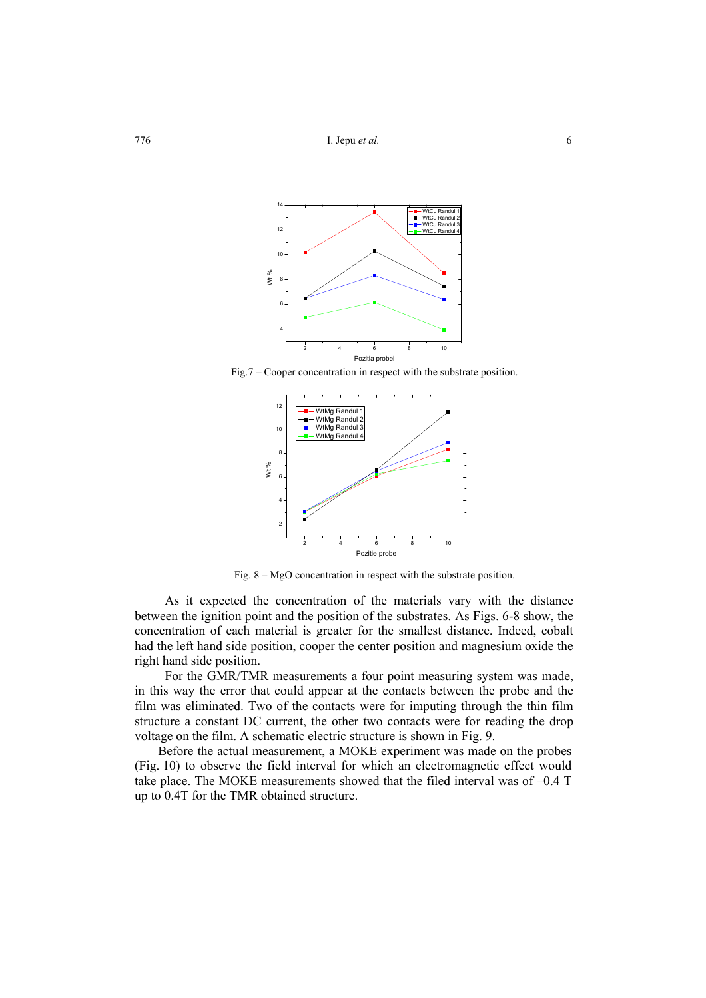

Fig.7 – Cooper concentration in respect with the substrate position.



Fig. 8 – MgO concentration in respect with the substrate position.

As it expected the concentration of the materials vary with the distance between the ignition point and the position of the substrates. As Figs. 6-8 show, the concentration of each material is greater for the smallest distance. Indeed, cobalt had the left hand side position, cooper the center position and magnesium oxide the right hand side position.

 For the GMR/TMR measurements a four point measuring system was made, in this way the error that could appear at the contacts between the probe and the film was eliminated. Two of the contacts were for imputing through the thin film structure a constant DC current, the other two contacts were for reading the drop voltage on the film. A schematic electric structure is shown in Fig. 9.

Before the actual measurement, a MOKE experiment was made on the probes (Fig. 10) to observe the field interval for which an electromagnetic effect would take place. The MOKE measurements showed that the filed interval was of –0.4 T up to 0.4T for the TMR obtained structure.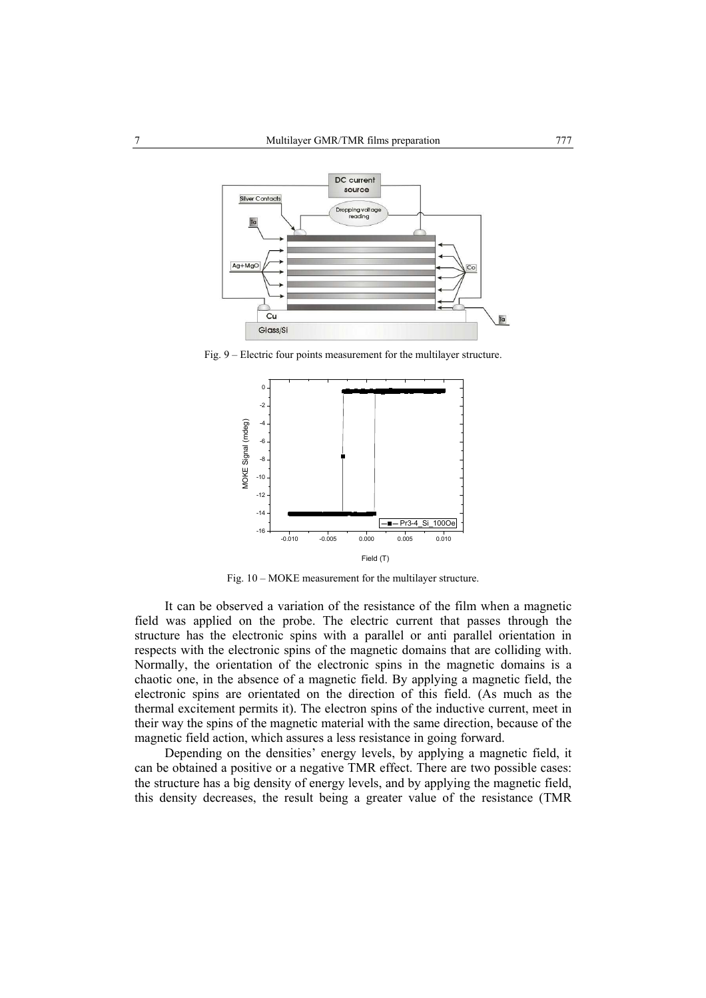

Fig. 9 – Electric four points measurement for the multilayer structure.



Fig. 10 – MOKE measurement for the multilayer structure.

It can be observed a variation of the resistance of the film when a magnetic field was applied on the probe. The electric current that passes through the structure has the electronic spins with a parallel or anti parallel orientation in respects with the electronic spins of the magnetic domains that are colliding with. Normally, the orientation of the electronic spins in the magnetic domains is a chaotic one, in the absence of a magnetic field. By applying a magnetic field, the electronic spins are orientated on the direction of this field. (As much as the thermal excitement permits it). The electron spins of the inductive current, meet in their way the spins of the magnetic material with the same direction, because of the magnetic field action, which assures a less resistance in going forward.

 Depending on the densities' energy levels, by applying a magnetic field, it can be obtained a positive or a negative TMR effect. There are two possible cases: the structure has a big density of energy levels, and by applying the magnetic field, this density decreases, the result being a greater value of the resistance (TMR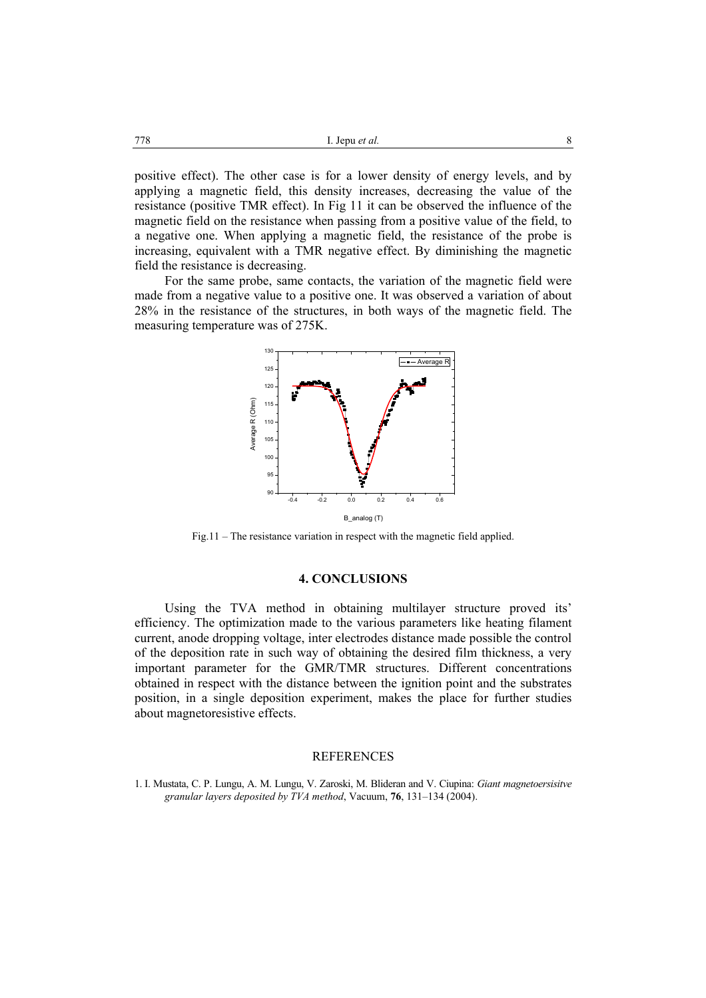positive effect). The other case is for a lower density of energy levels, and by applying a magnetic field, this density increases, decreasing the value of the resistance (positive TMR effect). In Fig 11 it can be observed the influence of the magnetic field on the resistance when passing from a positive value of the field, to a negative one. When applying a magnetic field, the resistance of the probe is increasing, equivalent with a TMR negative effect. By diminishing the magnetic field the resistance is decreasing.

 For the same probe, same contacts, the variation of the magnetic field were made from a negative value to a positive one. It was observed a variation of about 28% in the resistance of the structures, in both ways of the magnetic field. The measuring temperature was of 275K.



Fig.11 – The resistance variation in respect with the magnetic field applied.

## **4. CONCLUSIONS**

Using the TVA method in obtaining multilayer structure proved its' efficiency. The optimization made to the various parameters like heating filament current, anode dropping voltage, inter electrodes distance made possible the control of the deposition rate in such way of obtaining the desired film thickness, a very important parameter for the GMR/TMR structures. Different concentrations obtained in respect with the distance between the ignition point and the substrates position, in a single deposition experiment, makes the place for further studies about magnetoresistive effects.

#### REFERENCES

1. I. Mustata, C. P. Lungu, A. M. Lungu, V. Zaroski, M. Blideran and V. Ciupina: *Giant magnetoersisitve granular layers deposited by TVA method*, Vacuum, **76**, 131–134 (2004).